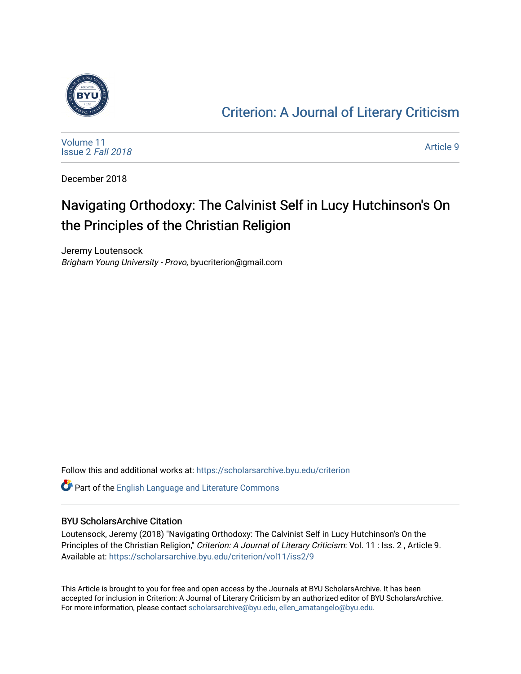

### [Criterion: A Journal of Literary Criticism](https://scholarsarchive.byu.edu/criterion)

[Volume 11](https://scholarsarchive.byu.edu/criterion/vol11) [Issue 2](https://scholarsarchive.byu.edu/criterion/vol11/iss2) Fall 2018

[Article 9](https://scholarsarchive.byu.edu/criterion/vol11/iss2/9) 

December 2018

## Navigating Orthodoxy: The Calvinist Self in Lucy Hutchinson's On the Principles of the Christian Religion

Jeremy Loutensock Brigham Young University - Provo, byucriterion@gmail.com

Follow this and additional works at: [https://scholarsarchive.byu.edu/criterion](https://scholarsarchive.byu.edu/criterion?utm_source=scholarsarchive.byu.edu%2Fcriterion%2Fvol11%2Fiss2%2F9&utm_medium=PDF&utm_campaign=PDFCoverPages) 

Part of the [English Language and Literature Commons](http://network.bepress.com/hgg/discipline/455?utm_source=scholarsarchive.byu.edu%2Fcriterion%2Fvol11%2Fiss2%2F9&utm_medium=PDF&utm_campaign=PDFCoverPages)

### BYU ScholarsArchive Citation

Loutensock, Jeremy (2018) "Navigating Orthodoxy: The Calvinist Self in Lucy Hutchinson's On the Principles of the Christian Religion," Criterion: A Journal of Literary Criticism: Vol. 11 : Iss. 2, Article 9. Available at: [https://scholarsarchive.byu.edu/criterion/vol11/iss2/9](https://scholarsarchive.byu.edu/criterion/vol11/iss2/9?utm_source=scholarsarchive.byu.edu%2Fcriterion%2Fvol11%2Fiss2%2F9&utm_medium=PDF&utm_campaign=PDFCoverPages)

This Article is brought to you for free and open access by the Journals at BYU ScholarsArchive. It has been accepted for inclusion in Criterion: A Journal of Literary Criticism by an authorized editor of BYU ScholarsArchive. For more information, please contact [scholarsarchive@byu.edu, ellen\\_amatangelo@byu.edu](mailto:scholarsarchive@byu.edu,%20ellen_amatangelo@byu.edu).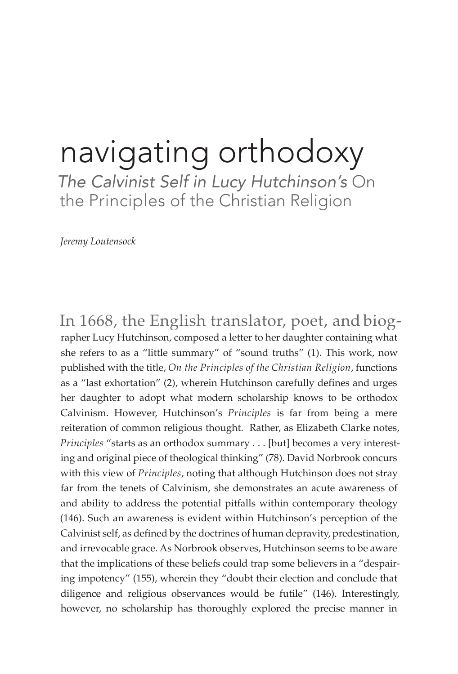# navigating orthodoxy

*The Calvinist Self in Lucy Hutchinson's* On the Principles of the Christian Religion

*Jeremy Loutensock*

In 1668, the English translator, poet, and biog rapher Lucy Hutchinson, composed a letter to her daughter containing what she refers to as a "little summary" of "sound truths" (1). This work, now published with the title, *On the Principles of the Christian Religion*, functions as a "last exhortation" (2), wherein Hutchinson carefully defines and urges her daughter to adopt what modern scholarship knows to be orthodox Calvinism. However, Hutchinson's *Principles* is far from being a mere reiteration of common religious thought. Rather, as Elizabeth Clarke notes, *Principles* "starts as an orthodox summary . . . [but] becomes a very interesting and original piece of theological thinking" (78). David Norbrook concurs with this view of *Principles*, noting that although Hutchinson does not stray far from the tenets of Calvinism, she demonstrates an acute awareness of and ability to address the potential pitfalls within contemporary theology (146). Such an awareness is evident within Hutchinson's perception of the Calvinist self, as defined by the doctrines of human depravity, predestination, and irrevocable grace. As Norbrook observes, Hutchinson seems to be aware that the implications of these beliefs could trap some believers in a "despairing impotency" (155), wherein they "doubt their election and conclude that diligence and religious observances would be futile" (146). Interestingly, however, no scholarship has thoroughly explored the precise manner in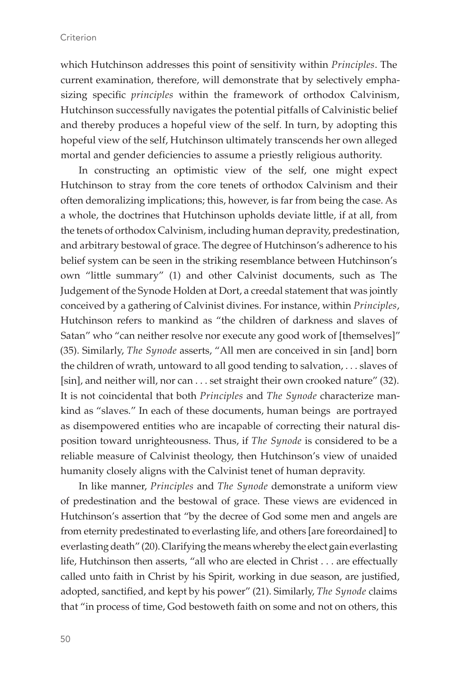which Hutchinson addresses this point of sensitivity within *Principles*. The current examination, therefore, will demonstrate that by selectively emphasizing specific *principles* within the framework of orthodox Calvinism, Hutchinson successfully navigates the potential pitfalls of Calvinistic belief and thereby produces a hopeful view of the self. In turn, by adopting this hopeful view of the self, Hutchinson ultimately transcends her own alleged mortal and gender deficiencies to assume a priestly religious authority.

In constructing an optimistic view of the self, one might expect Hutchinson to stray from the core tenets of orthodox Calvinism and their often demoralizing implications; this, however, is far from being the case. As a whole, the doctrines that Hutchinson upholds deviate little, if at all, from the tenets of orthodox Calvinism, including human depravity, predestination, and arbitrary bestowal of grace. The degree of Hutchinson's adherence to his belief system can be seen in the striking resemblance between Hutchinson's own "little summary" (1) and other Calvinist documents, such as The Judgement of the Synode Holden at Dort, a creedal statement that was jointly conceived by a gathering of Calvinist divines. For instance, within *Principles*, Hutchinson refers to mankind as "the children of darkness and slaves of Satan" who "can neither resolve nor execute any good work of [themselves]" (35). Similarly, *The Synode* asserts, "All men are conceived in sin [and] born the children of wrath, untoward to all good tending to salvation, . . . slaves of [sin], and neither will, nor can . . . set straight their own crooked nature" (32). It is not coincidental that both *Principles* and *The Synode* characterize mankind as "slaves." In each of these documents, human beings are portrayed as disempowered entities who are incapable of correcting their natural disposition toward unrighteousness. Thus, if *The Synode* is considered to be a reliable measure of Calvinist theology, then Hutchinson's view of unaided humanity closely aligns with the Calvinist tenet of human depravity.

In like manner, *Principles* and *The Synode* demonstrate a uniform view of predestination and the bestowal of grace. These views are evidenced in Hutchinson's assertion that "by the decree of God some men and angels are from eternity predestinated to everlasting life, and others [are foreordained] to everlasting death" (20). Clarifying the means whereby the elect gain everlasting life, Hutchinson then asserts, "all who are elected in Christ . . . are effectually called unto faith in Christ by his Spirit, working in due season, are justified, adopted, sanctified, and kept by his power" (21). Similarly, *The Synode* claims that "in process of time, God bestoweth faith on some and not on others, this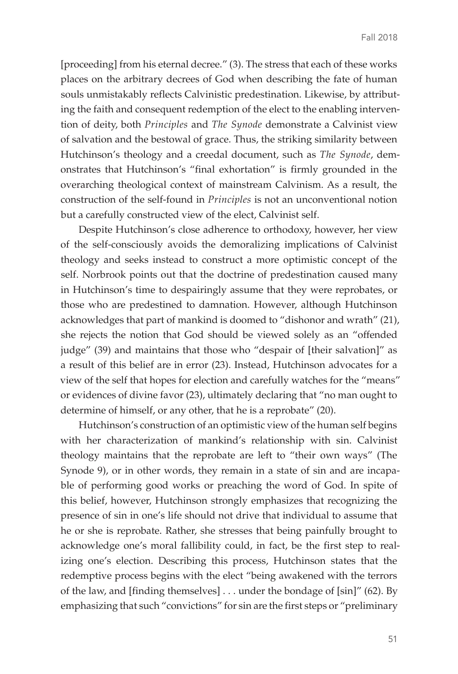[proceeding] from his eternal decree." (3). The stress that each of these works places on the arbitrary decrees of God when describing the fate of human souls unmistakably reflects Calvinistic predestination. Likewise, by attributing the faith and consequent redemption of the elect to the enabling intervention of deity, both *Principles* and *The Synode* demonstrate a Calvinist view of salvation and the bestowal of grace. Thus, the striking similarity between Hutchinson's theology and a creedal document, such as *The Synode*, demonstrates that Hutchinson's "final exhortation" is firmly grounded in the overarching theological context of mainstream Calvinism. As a result, the construction of the self-found in *Principles* is not an unconventional notion but a carefully constructed view of the elect, Calvinist self.

Despite Hutchinson's close adherence to orthodoxy, however, her view of the self-consciously avoids the demoralizing implications of Calvinist theology and seeks instead to construct a more optimistic concept of the self. Norbrook points out that the doctrine of predestination caused many in Hutchinson's time to despairingly assume that they were reprobates, or those who are predestined to damnation. However, although Hutchinson acknowledges that part of mankind is doomed to "dishonor and wrath" (21), she rejects the notion that God should be viewed solely as an "offended judge" (39) and maintains that those who "despair of [their salvation]" as a result of this belief are in error (23). Instead, Hutchinson advocates for a view of the self that hopes for election and carefully watches for the "means" or evidences of divine favor (23), ultimately declaring that "no man ought to determine of himself, or any other, that he is a reprobate" (20).

Hutchinson's construction of an optimistic view of the human self begins with her characterization of mankind's relationship with sin. Calvinist theology maintains that the reprobate are left to "their own ways" (The Synode 9), or in other words, they remain in a state of sin and are incapable of performing good works or preaching the word of God. In spite of this belief, however, Hutchinson strongly emphasizes that recognizing the presence of sin in one's life should not drive that individual to assume that he or she is reprobate. Rather, she stresses that being painfully brought to acknowledge one's moral fallibility could, in fact, be the first step to realizing one's election. Describing this process, Hutchinson states that the redemptive process begins with the elect "being awakened with the terrors of the law, and [finding themselves] . . . under the bondage of [sin]" (62). By emphasizing that such "convictions" for sin are the first steps or "preliminary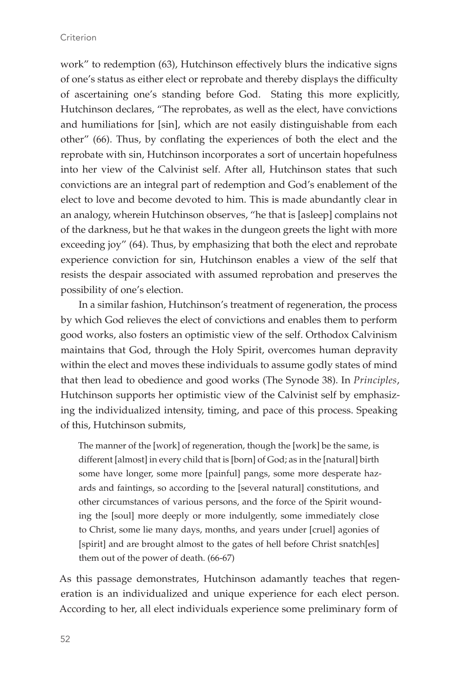#### **Criterion**

work" to redemption (63), Hutchinson effectively blurs the indicative signs of one's status as either elect or reprobate and thereby displays the difficulty of ascertaining one's standing before God. Stating this more explicitly, Hutchinson declares, "The reprobates, as well as the elect, have convictions and humiliations for [sin], which are not easily distinguishable from each other" (66). Thus, by conflating the experiences of both the elect and the reprobate with sin, Hutchinson incorporates a sort of uncertain hopefulness into her view of the Calvinist self. After all, Hutchinson states that such convictions are an integral part of redemption and God's enablement of the elect to love and become devoted to him. This is made abundantly clear in an analogy, wherein Hutchinson observes, "he that is [asleep] complains not of the darkness, but he that wakes in the dungeon greets the light with more exceeding joy" (64). Thus, by emphasizing that both the elect and reprobate experience conviction for sin, Hutchinson enables a view of the self that resists the despair associated with assumed reprobation and preserves the possibility of one's election.

In a similar fashion, Hutchinson's treatment of regeneration, the process by which God relieves the elect of convictions and enables them to perform good works, also fosters an optimistic view of the self. Orthodox Calvinism maintains that God, through the Holy Spirit, overcomes human depravity within the elect and moves these individuals to assume godly states of mind that then lead to obedience and good works (The Synode 38). In *Principles*, Hutchinson supports her optimistic view of the Calvinist self by emphasizing the individualized intensity, timing, and pace of this process. Speaking of this, Hutchinson submits,

The manner of the [work] of regeneration, though the [work] be the same, is different [almost] in every child that is [born] of God; as in the [natural] birth some have longer, some more [painful] pangs, some more desperate hazards and faintings, so according to the [several natural] constitutions, and other circumstances of various persons, and the force of the Spirit wounding the [soul] more deeply or more indulgently, some immediately close to Christ, some lie many days, months, and years under [cruel] agonies of [spirit] and are brought almost to the gates of hell before Christ snatch[es] them out of the power of death. (66-67)

As this passage demonstrates, Hutchinson adamantly teaches that regeneration is an individualized and unique experience for each elect person. According to her, all elect individuals experience some preliminary form of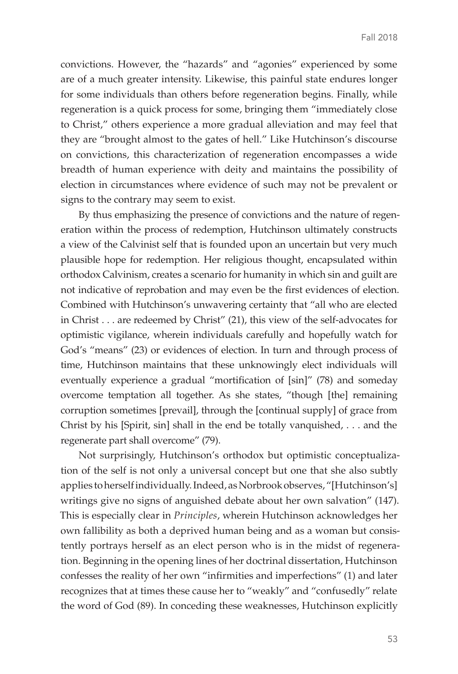convictions. However, the "hazards" and "agonies" experienced by some are of a much greater intensity. Likewise, this painful state endures longer for some individuals than others before regeneration begins. Finally, while regeneration is a quick process for some, bringing them "immediately close to Christ," others experience a more gradual alleviation and may feel that they are "brought almost to the gates of hell." Like Hutchinson's discourse on convictions, this characterization of regeneration encompasses a wide breadth of human experience with deity and maintains the possibility of election in circumstances where evidence of such may not be prevalent or signs to the contrary may seem to exist.

By thus emphasizing the presence of convictions and the nature of regeneration within the process of redemption, Hutchinson ultimately constructs a view of the Calvinist self that is founded upon an uncertain but very much plausible hope for redemption. Her religious thought, encapsulated within orthodox Calvinism, creates a scenario for humanity in which sin and guilt are not indicative of reprobation and may even be the first evidences of election. Combined with Hutchinson's unwavering certainty that "all who are elected in Christ . . . are redeemed by Christ" (21), this view of the self-advocates for optimistic vigilance, wherein individuals carefully and hopefully watch for God's "means" (23) or evidences of election. In turn and through process of time, Hutchinson maintains that these unknowingly elect individuals will eventually experience a gradual "mortification of [sin]" (78) and someday overcome temptation all together. As she states, "though [the] remaining corruption sometimes [prevail], through the [continual supply] of grace from Christ by his [Spirit, sin] shall in the end be totally vanquished, . . . and the regenerate part shall overcome" (79).

Not surprisingly, Hutchinson's orthodox but optimistic conceptualization of the self is not only a universal concept but one that she also subtly applies to herself individually. Indeed, as Norbrook observes, "[Hutchinson's] writings give no signs of anguished debate about her own salvation" (147). This is especially clear in *Principles*, wherein Hutchinson acknowledges her own fallibility as both a deprived human being and as a woman but consistently portrays herself as an elect person who is in the midst of regeneration. Beginning in the opening lines of her doctrinal dissertation, Hutchinson confesses the reality of her own "infirmities and imperfections" (1) and later recognizes that at times these cause her to "weakly" and "confusedly" relate the word of God (89). In conceding these weaknesses, Hutchinson explicitly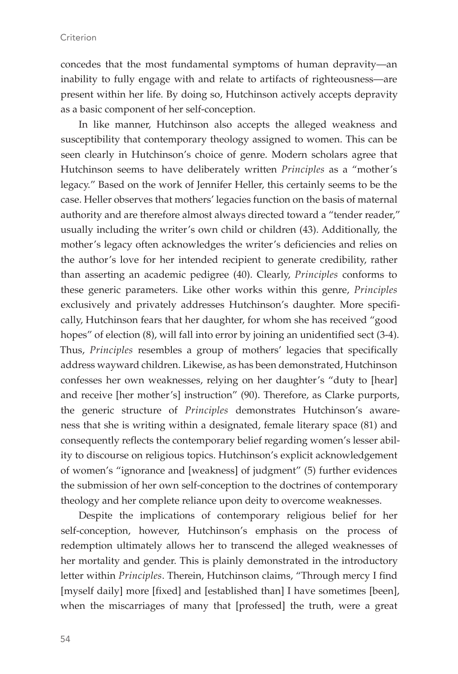concedes that the most fundamental symptoms of human depravity—an inability to fully engage with and relate to artifacts of righteousness—are present within her life. By doing so, Hutchinson actively accepts depravity as a basic component of her self-conception.

In like manner, Hutchinson also accepts the alleged weakness and susceptibility that contemporary theology assigned to women. This can be seen clearly in Hutchinson's choice of genre. Modern scholars agree that Hutchinson seems to have deliberately written *Principles* as a "mother's legacy." Based on the work of Jennifer Heller, this certainly seems to be the case. Heller observes that mothers' legacies function on the basis of maternal authority and are therefore almost always directed toward a "tender reader," usually including the writer's own child or children (43). Additionally, the mother's legacy often acknowledges the writer's deficiencies and relies on the author's love for her intended recipient to generate credibility, rather than asserting an academic pedigree (40). Clearly, *Principles* conforms to these generic parameters. Like other works within this genre, *Principles* exclusively and privately addresses Hutchinson's daughter. More specifically, Hutchinson fears that her daughter, for whom she has received "good hopes" of election (8), will fall into error by joining an unidentified sect (3-4). Thus, *Principles* resembles a group of mothers' legacies that specifically address wayward children. Likewise, as has been demonstrated, Hutchinson confesses her own weaknesses, relying on her daughter's "duty to [hear] and receive [her mother's] instruction" (90). Therefore, as Clarke purports, the generic structure of *Principles* demonstrates Hutchinson's awareness that she is writing within a designated, female literary space (81) and consequently reflects the contemporary belief regarding women's lesser ability to discourse on religious topics. Hutchinson's explicit acknowledgement of women's "ignorance and [weakness] of judgment" (5) further evidences the submission of her own self-conception to the doctrines of contemporary theology and her complete reliance upon deity to overcome weaknesses.

Despite the implications of contemporary religious belief for her self-conception, however, Hutchinson's emphasis on the process of redemption ultimately allows her to transcend the alleged weaknesses of her mortality and gender. This is plainly demonstrated in the introductory letter within *Principles*. Therein, Hutchinson claims, "Through mercy I find [myself daily] more [fixed] and [established than] I have sometimes [been], when the miscarriages of many that [professed] the truth, were a great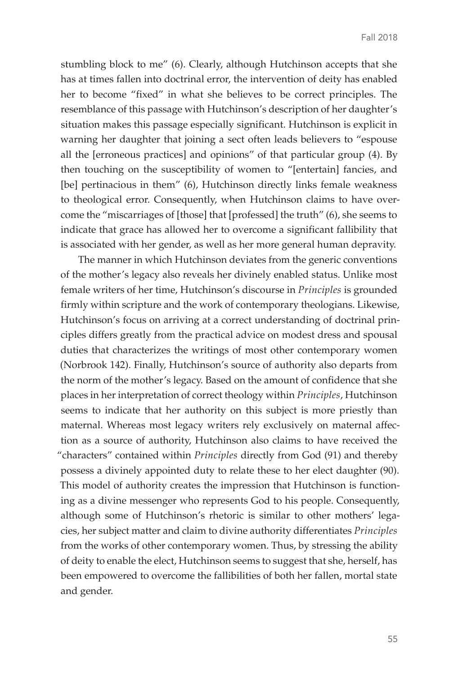stumbling block to me" (6). Clearly, although Hutchinson accepts that she has at times fallen into doctrinal error, the intervention of deity has enabled her to become "fixed" in what she believes to be correct principles. The resemblance of this passage with Hutchinson's description of her daughter's situation makes this passage especially significant. Hutchinson is explicit in warning her daughter that joining a sect often leads believers to "espouse all the [erroneous practices] and opinions" of that particular group (4). By then touching on the susceptibility of women to "[entertain] fancies, and [be] pertinacious in them" (6), Hutchinson directly links female weakness to theological error. Consequently, when Hutchinson claims to have overcome the "miscarriages of [those] that [professed] the truth" (6), she seems to indicate that grace has allowed her to overcome a significant fallibility that is associated with her gender, as well as her more general human depravity.

The manner in which Hutchinson deviates from the generic conventions of the mother's legacy also reveals her divinely enabled status. Unlike most female writers of her time, Hutchinson's discourse in *Principles* is grounded firmly within scripture and the work of contemporary theologians. Likewise, Hutchinson's focus on arriving at a correct understanding of doctrinal principles differs greatly from the practical advice on modest dress and spousal duties that characterizes the writings of most other contemporary women (Norbrook 142). Finally, Hutchinson's source of authority also departs from the norm of the mother's legacy. Based on the amount of confidence that she places in her interpretation of correct theology within *Principles*, Hutchinson seems to indicate that her authority on this subject is more priestly than maternal. Whereas most legacy writers rely exclusively on maternal affection as a source of authority, Hutchinson also claims to have received the "characters" contained within *Principles* directly from God (91) and thereby possess a divinely appointed duty to relate these to her elect daughter (90). This model of authority creates the impression that Hutchinson is functioning as a divine messenger who represents God to his people. Consequently, although some of Hutchinson's rhetoric is similar to other mothers' legacies, her subject matter and claim to divine authority differentiates *Principles* from the works of other contemporary women. Thus, by stressing the ability of deity to enable the elect, Hutchinson seems to suggest that she, herself, has been empowered to overcome the fallibilities of both her fallen, mortal state and gender.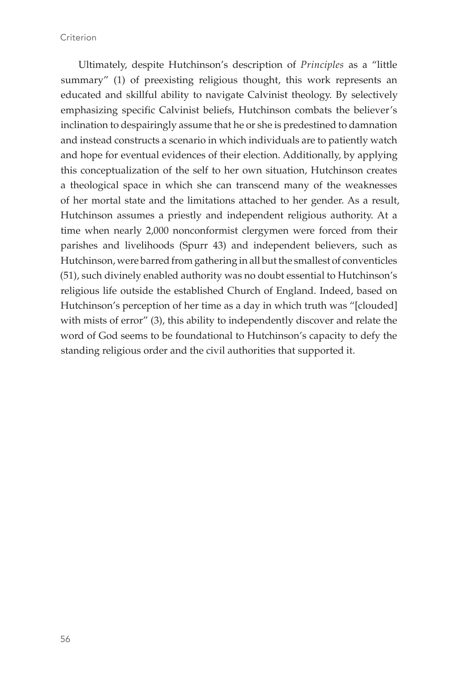**Criterion** 

Ultimately, despite Hutchinson's description of *Principles* as a "little summary" (1) of preexisting religious thought, this work represents an educated and skillful ability to navigate Calvinist theology. By selectively emphasizing specific Calvinist beliefs, Hutchinson combats the believer's inclination to despairingly assume that he or she is predestined to damnation and instead constructs a scenario in which individuals are to patiently watch and hope for eventual evidences of their election. Additionally, by applying this conceptualization of the self to her own situation, Hutchinson creates a theological space in which she can transcend many of the weaknesses of her mortal state and the limitations attached to her gender. As a result, Hutchinson assumes a priestly and independent religious authority. At a time when nearly 2,000 nonconformist clergymen were forced from their parishes and livelihoods (Spurr 43) and independent believers, such as Hutchinson, were barred from gathering in all but the smallest of conventicles (51), such divinely enabled authority was no doubt essential to Hutchinson's religious life outside the established Church of England. Indeed, based on Hutchinson's perception of her time as a day in which truth was "[clouded] with mists of error" (3), this ability to independently discover and relate the word of God seems to be foundational to Hutchinson's capacity to defy the standing religious order and the civil authorities that supported it.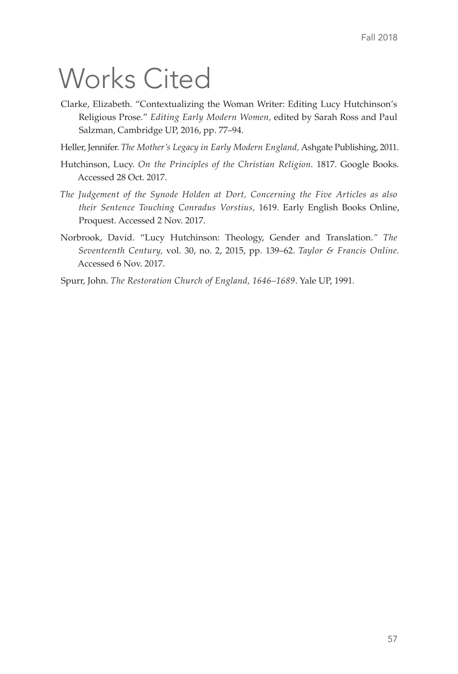## Works Cited

- Clarke, Elizabeth. "Contextualizing the Woman Writer: Editing Lucy Hutchinson's Religious Prose." *Editing Early Modern Women,* edited by Sarah Ross and Paul Salzman, Cambridge UP, 2016, pp. 77–94.
- Heller, Jennifer. *The Mother's Legacy in Early Modern England,* Ashgate Publishing, 2011.
- Hutchinson, Lucy. *On the Principles of the Christian Religion.* 1817. Google Books. Accessed 28 Oct. 2017.
- *The Judgement of the Synode Holden at Dort, Concerning the Five Articles as also their Sentence Touching Conradus Vorstius,* 1619. Early English Books Online, Proquest. Accessed 2 Nov. 2017.
- Norbrook, David. "Lucy Hutchinson: Theology, Gender and Translation.*" The Seventeenth Century,* vol. 30, no. 2, 2015, pp. 139–62. *Taylor & Francis Online.*  Accessed 6 Nov. 2017.
- Spurr, John. *The Restoration Church of England, 1646–1689*. Yale UP, 1991*.*